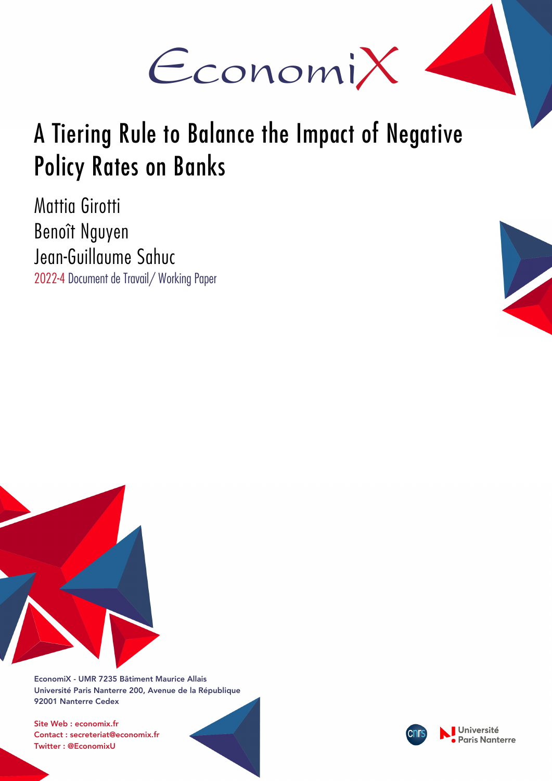

# A Tiering Rule to Balance the Impact of Negative Policy Rates on Banks

Mattia Girotti Benoît Nguyen Jean-Guillaume Sahuc 2022-4 Document de Travail/ Working Paper





EconomiX - UMR 7235 Bâtiment Maurice Allais Université Paris Nanterre 200, Avenue de la République 92001 Nanterre Cedex

Site Web : economix.fr Contact : secreteriat@economix.fr Twitter : @EconomixU



Université **Paris Nanterre**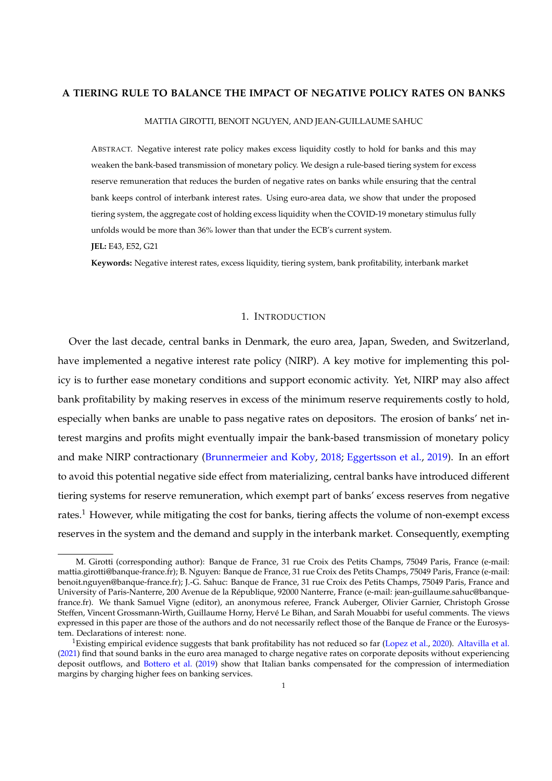## A TIERING RULE TO BALANCE THE IMPACT OF NEGATIVE POLICY RATES ON BANKS

### MATTIA GIROTTI, BENOIT NGUYEN, AND JEAN-GUILLAUME SAHUC

ABSTRACT. Negative interest rate policy makes excess liquidity costly to hold for banks and this may weaken the bank-based transmission of monetary policy. We design a rule-based tiering system for excess reserve remuneration that reduces the burden of negative rates on banks while ensuring that the central bank keeps control of interbank interest rates. Using euro-area data, we show that under the proposed tiering system, the aggregate cost of holding excess liquidity when the COVID-19 monetary stimulus fully unfolds would be more than 36% lower than that under the ECB's current system.

JEL: E43, E52, G21

Keywords: Negative interest rates, excess liquidity, tiering system, bank profitability, interbank market

#### 1. INTRODUCTION

Over the last decade, central banks in Denmark, the euro area, Japan, Sweden, and Switzerland, have implemented a negative interest rate policy (NIRP). A key motive for implementing this policy is to further ease monetary conditions and support economic activity. Yet, NIRP may also affect bank profitability by making reserves in excess of the minimum reserve requirements costly to hold, especially when banks are unable to pass negative rates on depositors. The erosion of banks' net interest margins and profits might eventually impair the bank-based transmission of monetary policy and make NIRP contractionary (Brunnermeier and Koby, 2018; Eggertsson et al., 2019). In an effort to avoid this potential negative side effect from materializing, central banks have introduced different tiering systems for reserve remuneration, which exempt part of banks' excess reserves from negative rates.<sup>1</sup> However, while mitigating the cost for banks, tiering affects the volume of non-exempt excess reserves in the system and the demand and supply in the interbank market. Consequently, exempting

M. Girotti (corresponding author): Banque de France, 31 rue Croix des Petits Champs, 75049 Paris, France (e-mail: mattia.girotti@banque-france.fr); B. Nguyen: Banque de France, 31 rue Croix des Petits Champs, 75049 Paris, France (e-mail: benoit.nguyen@banque-france.fr); J.-G. Sahuc: Banque de France, 31 rue Croix des Petits Champs, 75049 Paris, France and University of Paris-Nanterre, 200 Avenue de la République, 92000 Nanterre, France (e-mail: jean-guillaume.sahuc@banquefrance.fr). We thank Samuel Vigne (editor), an anonymous referee, Franck Auberger, Olivier Garnier, Christoph Grosse Steffen, Vincent Grossmann-Wirth, Guillaume Horny, Hervé Le Bihan, and Sarah Mouabbi for useful comments. The views expressed in this paper are those of the authors and do not necessarily reflect those of the Banque de France or the Eurosystem. Declarations of interest: none.

<sup>&</sup>lt;sup>1</sup>Existing empirical evidence suggests that bank profitability has not reduced so far (Lopez et al., 2020). Altavilla et al. (2021) find that sound banks in the euro area managed to charge negative rates on corporate deposits without experiencing deposit outflows, and Bottero et al. (2019) show that Italian banks compensated for the compression of intermediation margins by charging higher fees on banking services.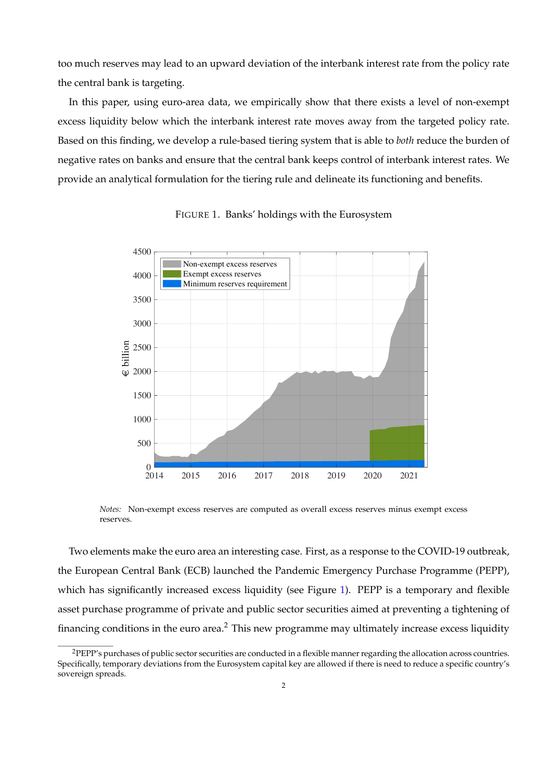too much reserves may lead to an upward deviation of the interbank interest rate from the policy rate the central bank is targeting.

In this paper, using euro-area data, we empirically show that there exists a level of non-exempt excess liquidity below which the interbank interest rate moves away from the targeted policy rate. Based on this finding, we develop a rule-based tiering system that is able to *both* reduce the burden of negative rates on banks and ensure that the central bank keeps control of interbank interest rates. We provide an analytical formulation for the tiering rule and delineate its functioning and benefits.



FIGURE 1. Banks' holdings with the Eurosystem

Notes: Non-exempt excess reserves are computed as overall excess reserves minus exempt excess reserves.

Two elements make the euro area an interesting case. First, as a response to the COVID-19 outbreak, the European Central Bank (ECB) launched the Pandemic Emergency Purchase Programme (PEPP), which has significantly increased excess liquidity (see Figure 1). PEPP is a temporary and flexible asset purchase programme of private and public sector securities aimed at preventing a tightening of financing conditions in the euro area.<sup>2</sup> This new programme may ultimately increase excess liquidity

<sup>&</sup>lt;sup>2</sup>PEPP's purchases of public sector securities are conducted in a flexible manner regarding the allocation across countries. Specifically, temporary deviations from the Eurosystem capital key are allowed if there is need to reduce a specific country's sovereign spreads.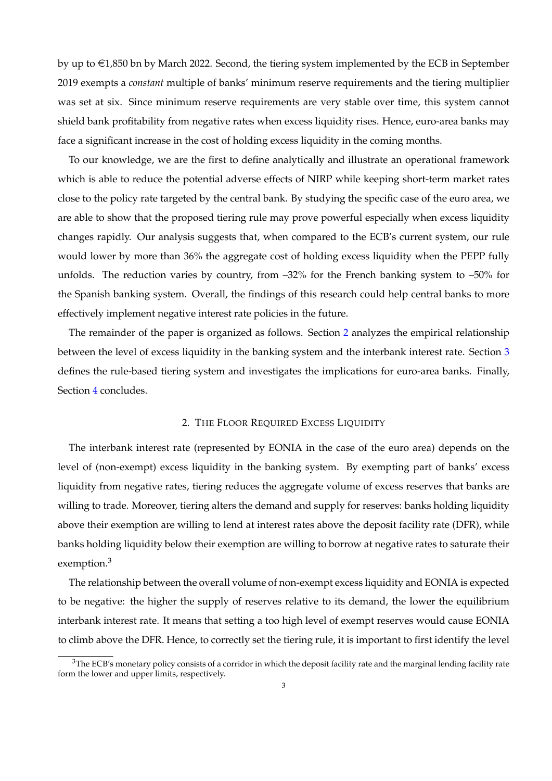by up to  $\in$ 1,850 bn by March 2022. Second, the tiering system implemented by the ECB in September 2019 exempts a *constant* multiple of banks' minimum reserve requirements and the tiering multiplier was set at six. Since minimum reserve requirements are very stable over time, this system cannot shield bank profitability from negative rates when excess liquidity rises. Hence, euro-area banks may face a significant increase in the cost of holding excess liquidity in the coming months.

To our knowledge, we are the first to define analytically and illustrate an operational framework which is able to reduce the potential adverse effects of NIRP while keeping short-term market rates close to the policy rate targeted by the central bank. By studying the specific case of the euro area, we are able to show that the proposed tiering rule may prove powerful especially when excess liquidity changes rapidly. Our analysis suggests that, when compared to the ECB's current system, our rule would lower by more than 36% the aggregate cost of holding excess liquidity when the PEPP fully unfolds. The reduction varies by country, from  $-32\%$  for the French banking system to  $-50\%$  for the Spanish banking system. Overall, the findings of this research could help central banks to more effectively implement negative interest rate policies in the future.

The remainder of the paper is organized as follows. Section 2 analyzes the empirical relationship between the level of excess liquidity in the banking system and the interbank interest rate. Section 3 defines the rule-based tiering system and investigates the implications for euro-area banks. Finally, Section 4 concludes.

# 2. THE FLOOR REQUIRED EXCESS LIQUIDITY

The interbank interest rate (represented by EONIA in the case of the euro area) depends on the level of (non-exempt) excess liquidity in the banking system. By exempting part of banks' excess liquidity from negative rates, tiering reduces the aggregate volume of excess reserves that banks are willing to trade. Moreover, tiering alters the demand and supply for reserves: banks holding liquidity above their exemption are willing to lend at interest rates above the deposit facility rate (DFR), while banks holding liquidity below their exemption are willing to borrow at negative rates to saturate their exemption. $3$ 

The relationship between the overall volume of non-exempt excess liquidity and EONIA is expected to be negative: the higher the supply of reserves relative to its demand, the lower the equilibrium interbank interest rate. It means that setting a too high level of exempt reserves would cause EONIA to climb above the DFR. Hence, to correctly set the tiering rule, it is important to first identify the level

<sup>&</sup>lt;sup>3</sup>The ECB's monetary policy consists of a corridor in which the deposit facility rate and the marginal lending facility rate form the lower and upper limits, respectively.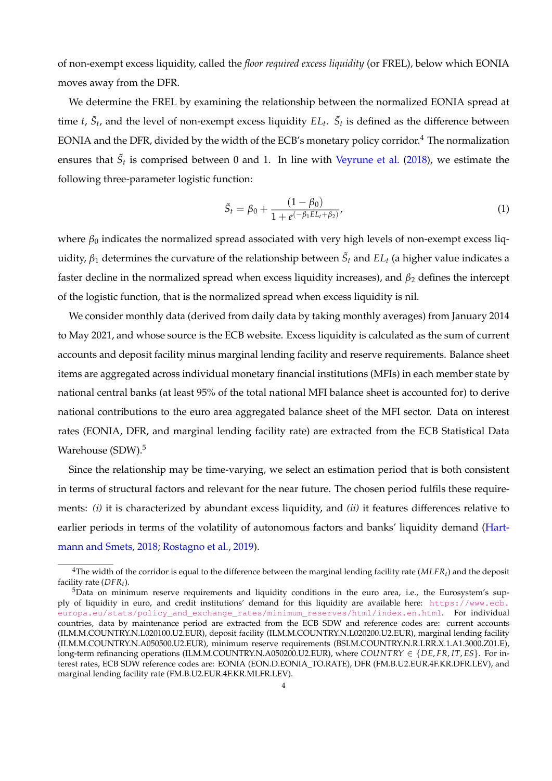of non-exempt excess liquidity, called the *floor required excess liquidity* (or FREL), below which EONIA moves away from the DFR.

We determine the FREL by examining the relationship between the normalized EONIA spread at time t,  $\tilde{S}_t$ , and the level of non-exempt excess liquidity  $EL_t$ .  $\tilde{S}_t$  is defined as the difference between EONIA and the DFR, divided by the width of the ECB's monetary policy corridor.<sup>4</sup> The normalization ensures that  $\tilde{S}_t$  is comprised between 0 and 1. In line with Veyrune et al. (2018), we estimate the following three-parameter logistic function:

$$
\tilde{S}_t = \beta_0 + \frac{(1 - \beta_0)}{1 + e^{(-\beta_1 EL_t + \beta_2)}},\tag{1}
$$

where  $\beta_0$  indicates the normalized spread associated with very high levels of non-exempt excess liquidity,  $\beta_1$  determines the curvature of the relationship between  $\tilde{S}_t$  and  $EL_t$  (a higher value indicates a faster decline in the normalized spread when excess liquidity increases), and  $\beta_2$  defines the intercept of the logistic function, that is the normalized spread when excess liquidity is nil.

We consider monthly data (derived from daily data by taking monthly averages) from January 2014 to May 2021, and whose source is the ECB website. Excess liquidity is calculated as the sum of current accounts and deposit facility minus marginal lending facility and reserve requirements. Balance sheet items are aggregated across individual monetary financial institutions (MFIs) in each member state by national central banks (at least 95% of the total national MFI balance sheet is accounted for) to derive national contributions to the euro area aggregated balance sheet of the MFI sector. Data on interest rates (EONIA, DFR, and marginal lending facility rate) are extracted from the ECB Statistical Data Warehouse (SDW).<sup>5</sup>

Since the relationship may be time-varying, we select an estimation period that is both consistent in terms of structural factors and relevant for the near future. The chosen period fulfils these requirements: (i) it is characterized by abundant excess liquidity, and (ii) it features differences relative to earlier periods in terms of the volatility of autonomous factors and banks' liquidity demand (Hartmann and Smets, 2018; Rostagno et al., 2019).

<sup>&</sup>lt;sup>4</sup>The width of the corridor is equal to the difference between the marginal lending facility rate ( $MLFR<sub>t</sub>$ ) and the deposit facility rate  $(DFR<sub>t</sub>)$ .

<sup>&</sup>lt;sup>5</sup>Data on minimum reserve requirements and liquidity conditions in the euro area, i.e., the Eurosystem's supply of liquidity in euro, and credit institutions' demand for this liquidity are available here: https://www.ecb. europa.eu/stats/policy\_and\_exchange\_rates/minimum\_reserves/html/index.en.html. For individual countries, data by maintenance period are extracted from the ECB SDW and reference codes are: current accounts (ILM.M.COUNTRY.N.L020100.U2.EUR), deposit facility (ILM.M.COUNTRY.N.L020200.U2.EUR), marginal lending facility (ILM.M.COUNTRY.N.A050500.U2.EUR), minimum reserve requirements (BSI.M.COUNTRY.N.R.LRR.X.1.A1.3000.Z01.E), long-term refinancing operations (ILM.M.COUNTRY.N.A050200.U2.EUR), where COUNTRY  $\in \{DE, FR, IT, ES\}$ . For interest rates, ECB SDW reference codes are: EONIA (EON.D.EONIA\_TO.RATE), DFR (FM.B.U2.EUR.4F.KR.DFR.LEV), and marginal lending facility rate (FM.B.U2.EUR.4F.KR.MLFR.LEV).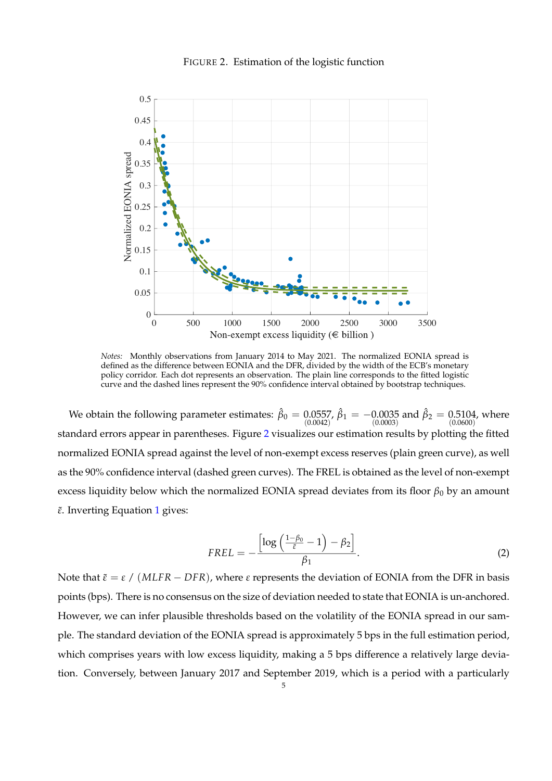## FIGURE 2. Estimation of the logistic function



Notes: Monthly observations from January 2014 to May 2021. The normalized EONIA spread is defined as the difference between EONIA and the DFR, divided by the width of the ECB's monetary policy corridor. Each dot represents an observation. The plain line corresponds to the fitted logistic curve and the dashed lines represent the 90% confidence interval obtained by bootstrap techniques.

We obtain the following parameter estimates:  $\hat{\beta}_0 = 0.0557$ ,  $\hat{\beta}_1 = -0.0035$  and  $\hat{\beta}_2 = 0.5104$ , where  $(0.0003)$ standard errors appear in parentheses. Figure 2 visualizes our estimation results by plotting the fitted normalized EONIA spread against the level of non-exempt excess reserves (plain green curve), as well as the 90% confidence interval (dashed green curves). The FREL is obtained as the level of non-exempt excess liquidity below which the normalized EONIA spread deviates from its floor  $\beta_0$  by an amount  $\tilde{\varepsilon}$ . Inverting Equation 1 gives:

$$
FREL = -\frac{\left[\log\left(\frac{1-\beta_0}{\tilde{\varepsilon}}-1\right)-\beta_2\right]}{\beta_1}.\tag{2}
$$

Note that  $\tilde{\varepsilon} = \varepsilon / (MLFR - DFR)$ , where  $\varepsilon$  represents the deviation of EONIA from the DFR in basis points (bps). There is no consensus on the size of deviation needed to state that EONIA is un-anchored. However, we can infer plausible thresholds based on the volatility of the EONIA spread in our sample. The standard deviation of the EONIA spread is approximately 5 bps in the full estimation period, which comprises years with low excess liquidity, making a 5 bps difference a relatively large deviation. Conversely, between January 2017 and September 2019, which is a period with a particularly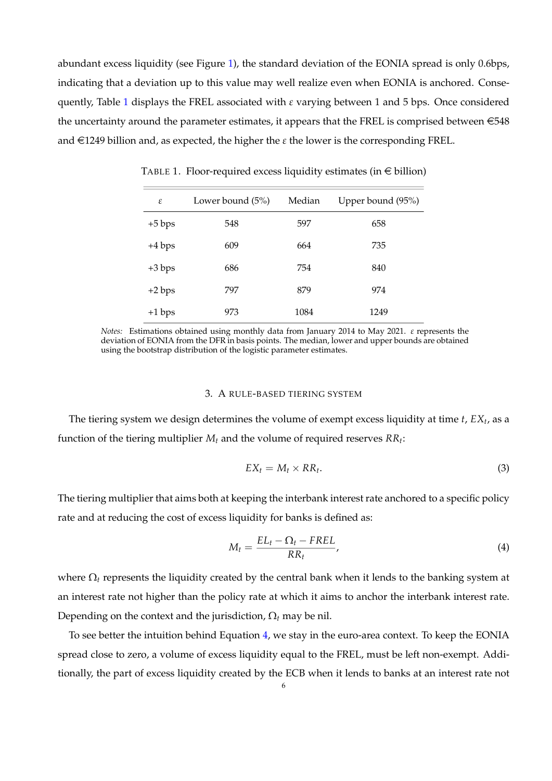abundant excess liquidity (see Figure 1), the standard deviation of the EONIA spread is only 0.6bps, indicating that a deviation up to this value may well realize even when EONIA is anchored. Consequently, Table 1 displays the FREL associated with  $\varepsilon$  varying between 1 and 5 bps. Once considered the uncertainty around the parameter estimates, it appears that the FREL is comprised between  $\epsilon$ 548 and  $\in$ 1249 billion and, as expected, the higher the  $\varepsilon$  the lower is the corresponding FREL.

| ε        | Lower bound $(5%)$ | Median | Upper bound (95%) |
|----------|--------------------|--------|-------------------|
| $+5$ bps | 548                | 597    | 658               |
| $+4$ bps | 609                | 664    | 735               |
| $+3$ bps | 686                | 754    | 840               |
| $+2$ bps | 797                | 879    | 974               |
| $+1$ bps | 973                | 1084   | 1249              |

TABLE 1. Floor-required excess liquidity estimates (in  $\in$  billion)

Notes: Estimations obtained using monthly data from January 2014 to May 2021.  $\varepsilon$  represents the deviation of EONIA from the DFR in basis points. The median, lower and upper bounds are obtained using the bootstrap distribution of the logistic parameter estimates.

## 3. A RULE-BASED TIERING SYSTEM

The tiering system we design determines the volume of exempt excess liquidity at time t,  $EX_t$ , as a function of the tiering multiplier  $M_t$  and the volume of required reserves  $RR_t$ :

$$
EX_t = M_t \times RR_t. \tag{3}
$$

The tiering multiplier that aims both at keeping the interbank interest rate anchored to a specific policy rate and at reducing the cost of excess liquidity for banks is defined as:

$$
M_t = \frac{EL_t - \Omega_t - FREL}{RR_t},\tag{4}
$$

where  $\Omega_t$  represents the liquidity created by the central bank when it lends to the banking system at an interest rate not higher than the policy rate at which it aims to anchor the interbank interest rate. Depending on the context and the jurisdiction,  $\Omega_t$  may be nil.

To see better the intuition behind Equation 4, we stay in the euro-area context. To keep the EONIA spread close to zero, a volume of excess liquidity equal to the FREL, must be left non-exempt. Additionally, the part of excess liquidity created by the ECB when it lends to banks at an interest rate not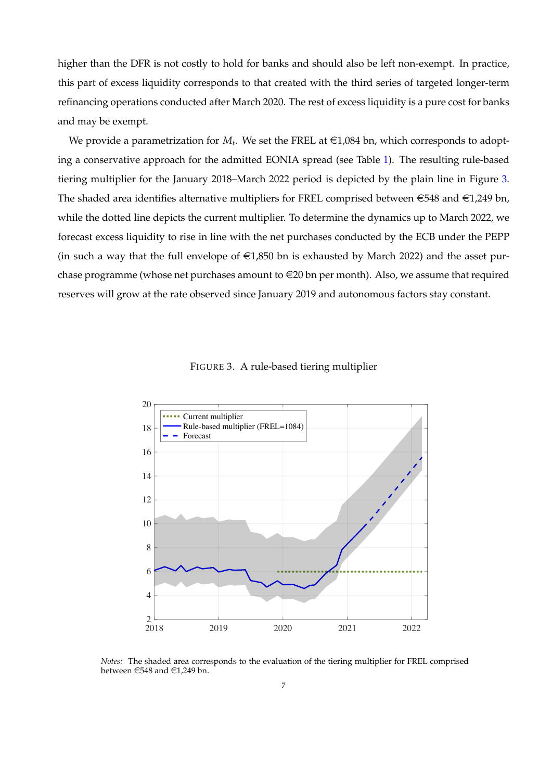higher than the DFR is not costly to hold for banks and should also be left non-exempt. In practice, this part of excess liquidity corresponds to that created with the third series of targeted longer-term refinancing operations conducted after March 2020. The rest of excess liquidity is a pure cost for banks and may be exempt.

We provide a parametrization for  $M_t$ . We set the FREL at  $\in 1,084$  bn, which corresponds to adopting a conservative approach for the admitted EONIA spread (see Table 1). The resulting rule-based tiering multiplier for the January 2018–March 2022 period is depicted by the plain line in Figure 3. The shaded area identifies alternative multipliers for FREL comprised between  $\in$ 548 and  $\in$ 1,249 bn, while the dotted line depicts the current multiplier. To determine the dynamics up to March 2022, we forecast excess liquidity to rise in line with the net purchases conducted by the ECB under the PEPP (in such a way that the full envelope of  $\epsilon$ 1,850 bn is exhausted by March 2022) and the asset purchase programme (whose net purchases amount to  $\in 20$  bn per month). Also, we assume that required reserves will grow at the rate observed since January 2019 and autonomous factors stay constant.





Notes: The shaded area corresponds to the evaluation of the tiering multiplier for FREL comprised between €548 and €1,249 bn.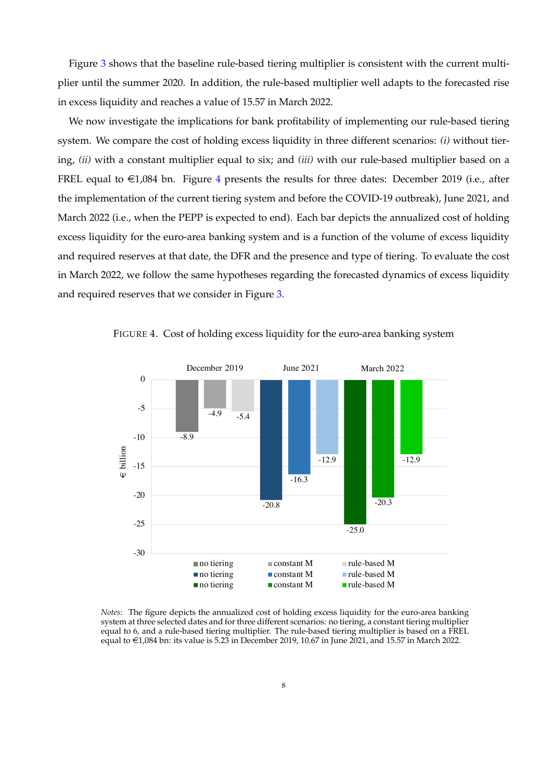Figure 3 shows that the baseline rule-based tiering multiplier is consistent with the current multiplier until the summer 2020. In addition, the rule-based multiplier well adapts to the forecasted rise in excess liquidity and reaches a value of 15.57 in March 2022.

We now investigate the implications for bank profitability of implementing our rule-based tiering system. We compare the cost of holding excess liquidity in three different scenarios:  $(i)$  without tiering, (ii) with a constant multiplier equal to six; and (iii) with our rule-based multiplier based on a FREL equal to  $\in$ 1,084 bn. Figure 4 presents the results for three dates: December 2019 (i.e., after the implementation of the current tiering system and before the COVID-19 outbreak), June 2021, and March 2022 (i.e., when the PEPP is expected to end). Each bar depicts the annualized cost of holding excess liquidity for the euro-area banking system and is a function of the volume of excess liquidity and required reserves at that date, the DFR and the presence and type of tiering. To evaluate the cost in March 2022, we follow the same hypotheses regarding the forecasted dynamics of excess liquidity and required reserves that we consider in Figure 3.



FIGURE 4. Cost of holding excess liquidity for the euro-area banking system

Notes: The figure depicts the annualized cost of holding excess liquidity for the euro-area banking system at three selected dates and for three different scenarios: no tiering, a constant tiering multiplier equal to 6, and a rule-based tiering multiplier. The rule-based tiering multiplier is based on a FREL equal to  $\in 1,084$  bn: its value is 5.23 in December 2019, 10.67 in June 2021, and 15.57 in March 2022.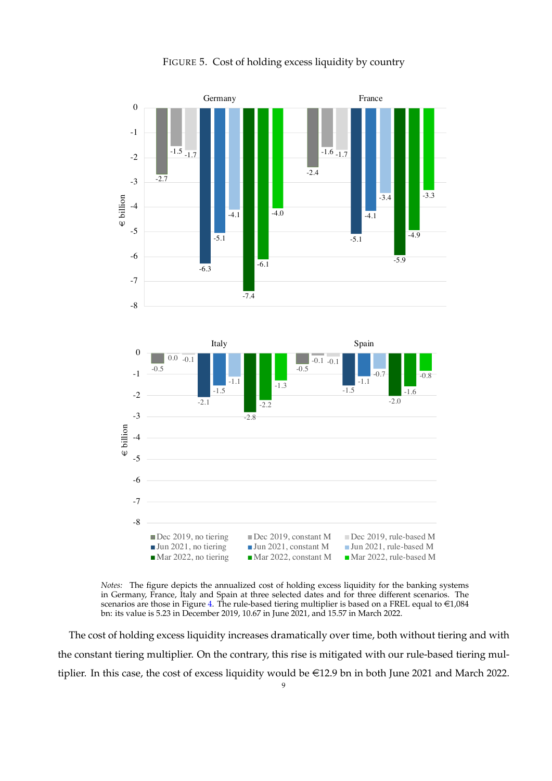

FIGURE 5. Cost of holding excess liquidity by country

Notes: The figure depicts the annualized cost of holding excess liquidity for the banking systems in Germany, France, İtaly and Spain at three selected dates and for three different scenarios. The scenarios are those in Figure 4. The rule-based tiering multiplier is based on a FREL equal to €1,084 bn: its value is 5.23 in December 2019, 10.67 in June 2021, and 15.57 in March 2022.

The cost of holding excess liquidity increases dramatically over time, both without tiering and with the constant tiering multiplier. On the contrary, this rise is mitigated with our rule-based tiering multiplier. In this case, the cost of excess liquidity would be €12.9 bn in both June 2021 and March 2022.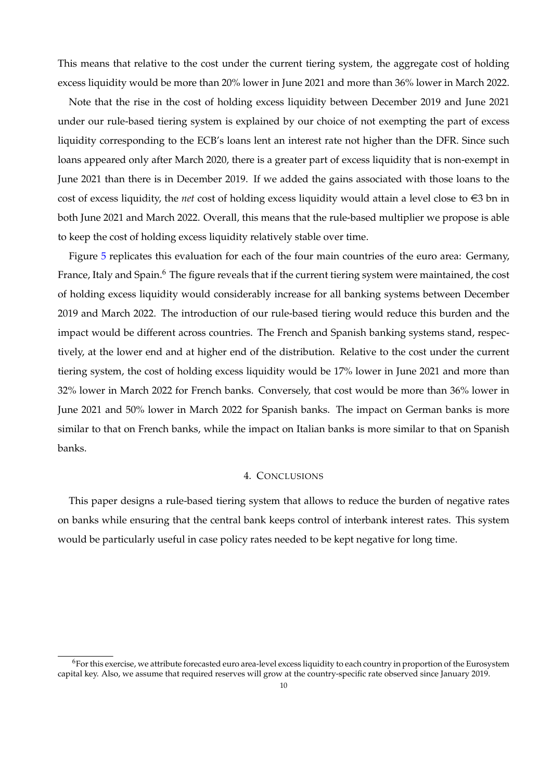This means that relative to the cost under the current tiering system, the aggregate cost of holding excess liquidity would be more than 20% lower in June 2021 and more than 36% lower in March 2022.

Note that the rise in the cost of holding excess liquidity between December 2019 and June 2021 under our rule-based tiering system is explained by our choice of not exempting the part of excess liquidity corresponding to the ECB's loans lent an interest rate not higher than the DFR. Since such loans appeared only after March 2020, there is a greater part of excess liquidity that is non-exempt in June 2021 than there is in December 2019. If we added the gains associated with those loans to the cost of excess liquidity, the *net* cost of holding excess liquidity would attain a level close to  $\in$ 3 bn in both June 2021 and March 2022. Overall, this means that the rule-based multiplier we propose is able to keep the cost of holding excess liquidity relatively stable over time.

Figure 5 replicates this evaluation for each of the four main countries of the euro area: Germany, France, Italy and Spain.<sup>6</sup> The figure reveals that if the current tiering system were maintained, the cost of holding excess liquidity would considerably increase for all banking systems between December 2019 and March 2022. The introduction of our rule-based tiering would reduce this burden and the impact would be different across countries. The French and Spanish banking systems stand, respectively, at the lower end and at higher end of the distribution. Relative to the cost under the current tiering system, the cost of holding excess liquidity would be 17% lower in June 2021 and more than 32% lower in March 2022 for French banks. Conversely, that cost would be more than 36% lower in June 2021 and 50% lower in March 2022 for Spanish banks. The impact on German banks is more similar to that on French banks, while the impact on Italian banks is more similar to that on Spanish banks.

## 4. CONCLUSIONS

This paper designs a rule-based tiering system that allows to reduce the burden of negative rates on banks while ensuring that the central bank keeps control of interbank interest rates. This system would be particularly useful in case policy rates needed to be kept negative for long time.

<sup>&</sup>lt;sup>6</sup>For this exercise, we attribute forecasted euro area-level excess liquidity to each country in proportion of the Eurosystem capital key. Also, we assume that required reserves will grow at the country-specific rate observed since January 2019.